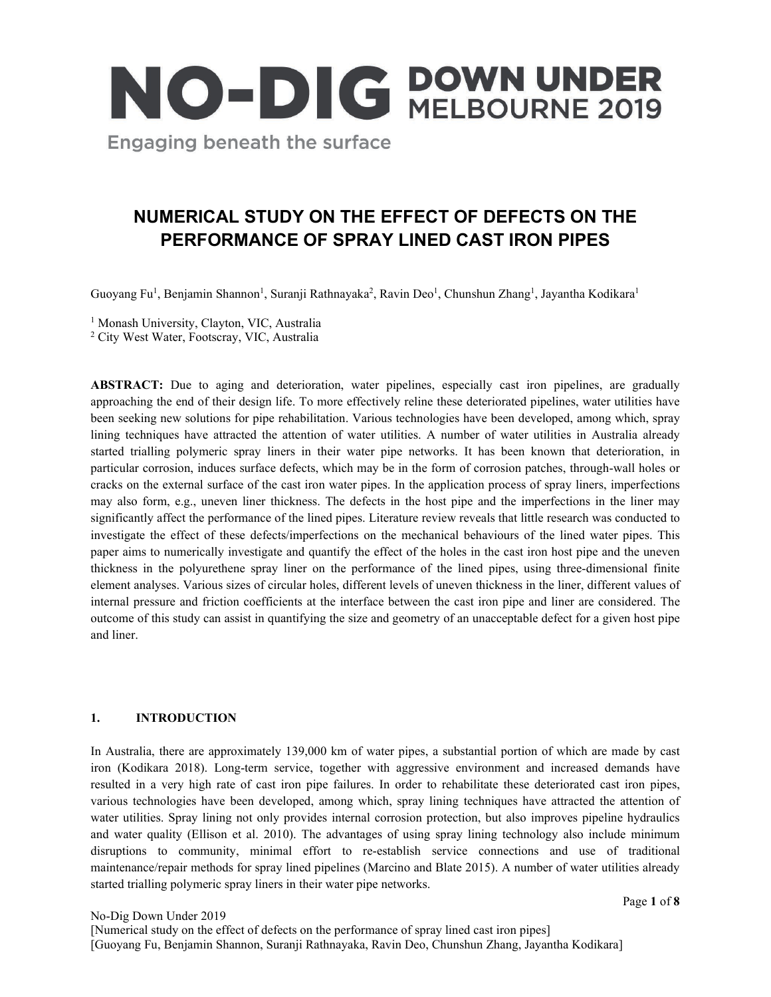

# **NUMERICAL STUDY ON THE EFFECT OF DEFECTS ON THE PERFORMANCE OF SPRAY LINED CAST IRON PIPES**

Guoyang Fu<sup>1</sup>, Benjamin Shannon<sup>1</sup>, Suranji Rathnayaka<sup>2</sup>, Ravin Deo<sup>1</sup>, Chunshun Zhang<sup>1</sup>, Jayantha Kodikara<sup>1</sup>

<sup>1</sup> Monash University, Clayton, VIC, Australia

<sup>2</sup> City West Water, Footscray, VIC, Australia

ABSTRACT: Due to aging and deterioration, water pipelines, especially cast iron pipelines, are gradually approaching the end of their design life. To more effectively reline these deteriorated pipelines, water utilities have been seeking new solutions for pipe rehabilitation. Various technologies have been developed, among which, spray lining techniques have attracted the attention of water utilities. A number of water utilities in Australia already started trialling polymeric spray liners in their water pipe networks. It has been known that deterioration, in particular corrosion, induces surface defects, which may be in the form of corrosion patches, through-wall holes or cracks on the external surface of the cast iron water pipes. In the application process of spray liners, imperfections may also form, e.g., uneven liner thickness. The defects in the host pipe and the imperfections in the liner may significantly affect the performance of the lined pipes. Literature review reveals that little research was conducted to investigate the effect of these defects/imperfections on the mechanical behaviours of the lined water pipes. This paper aims to numerically investigate and quantify the effect of the holes in the cast iron host pipe and the uneven thickness in the polyurethene spray liner on the performance of the lined pipes, using three-dimensional finite element analyses. Various sizes of circular holes, different levels of uneven thickness in the liner, different values of internal pressure and friction coefficients at the interface between the cast iron pipe and liner are considered. The outcome of this study can assist in quantifying the size and geometry of an unacceptable defect for a given host pipe and liner.

#### **1. INTRODUCTION**

In Australia, there are approximately 139,000 km of water pipes, a substantial portion of which are made by cast iron (Kodikara 2018). Long-term service, together with aggressive environment and increased demands have resulted in a very high rate of cast iron pipe failures. In order to rehabilitate these deteriorated cast iron pipes, various technologies have been developed, among which, spray lining techniques have attracted the attention of water utilities. Spray lining not only provides internal corrosion protection, but also improves pipeline hydraulics and water quality (Ellison et al. 2010). The advantages of using spray lining technology also include minimum disruptions to community, minimal effort to re-establish service connections and use of traditional maintenance/repair methods for spray lined pipelines (Marcino and Blate 2015). A number of water utilities already started trialling polymeric spray liners in their water pipe networks.

Page **1** of **8**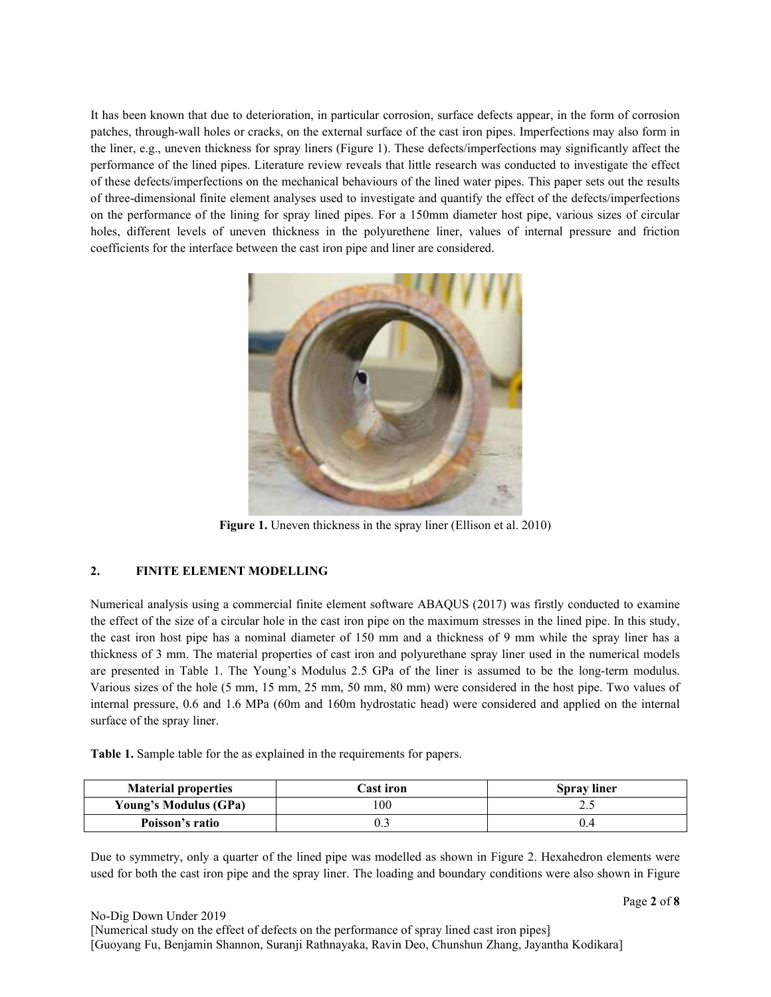It has been known that due to deterioration, in particular corrosion, surface defects appear, in the form of corrosion patches, through-wall holes or cracks, on the external surface of the cast iron pipes. Imperfections may also form in the liner, e.g., uneven thickness for spray liners (Figure 1). These defects/imperfections may significantly affect the performance of the lined pipes. Literature review reveals that little research was conducted to investigate the effect of these defects/imperfections on the mechanical behaviours of the lined water pipes. This paper sets out the results of three-dimensional finite element analyses used to investigate and quantify the effect of the defects/imperfections on the performance of the lining for spray lined pipes. For a 150mm diameter host pipe, various sizes of circular holes, different levels of uneven thickness in the polyurethene liner, values of internal pressure and friction coefficients for the interface between the cast iron pipe and liner are considered.



**Figure 1.** Uneven thickness in the spray liner (Ellison et al. 2010)

## **2. FINITE ELEMENT MODELLING**

Numerical analysis using a commercial finite element software ABAQUS (2017) was firstly conducted to examine the effect of the size of a circular hole in the cast iron pipe on the maximum stresses in the lined pipe. In this study, the cast iron host pipe has a nominal diameter of 150 mm and a thickness of 9 mm while the spray liner has a thickness of 3 mm. The material properties of cast iron and polyurethane spray liner used in the numerical models are presented in Table 1. The Young's Modulus 2.5 GPa of the liner is assumed to be the long-term modulus. Various sizes of the hole (5 mm, 15 mm, 25 mm, 50 mm, 80 mm) were considered in the host pipe. Two values of internal pressure, 0.6 and 1.6 MPa (60m and 160m hydrostatic head) were considered and applied on the internal surface of the spray liner.

**Table 1.** Sample table for the as explained in the requirements for papers.

| <b>Material properties</b>   | <b>Cast iron</b> | <b>Spray liner</b> |  |
|------------------------------|------------------|--------------------|--|
| <b>Young's Modulus (GPa)</b> | .00              | ن ک                |  |
| Poisson's ratio              |                  | 0.4                |  |

Due to symmetry, only a quarter of the lined pipe was modelled as shown in Figure 2. Hexahedron elements were used for both the cast iron pipe and the spray liner. The loading and boundary conditions were also shown in Figure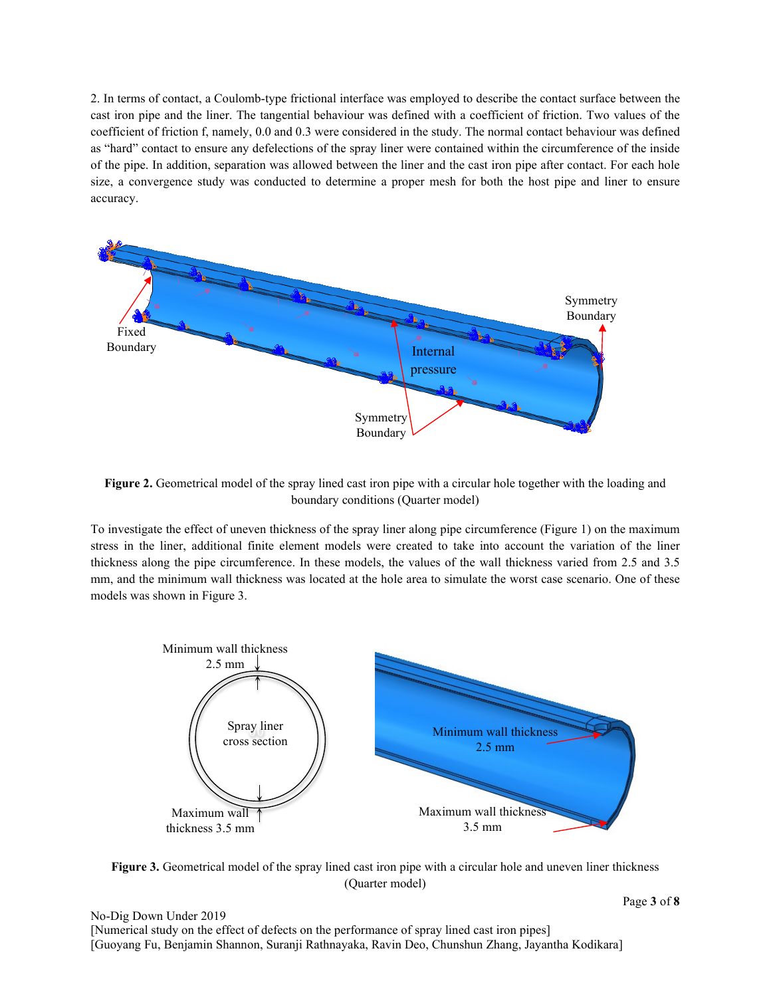2. In terms of contact, a Coulomb-type frictional interface was employed to describe the contact surface between the cast iron pipe and the liner. The tangential behaviour was defined with a coefficient of friction. Two values of the coefficient of friction f, namely, 0.0 and 0.3 were considered in the study. The normal contact behaviour was defined as "hard" contact to ensure any defelections of the spray liner were contained within the circumference of the inside of the pipe. In addition, separation was allowed between the liner and the cast iron pipe after contact. For each hole size, a convergence study was conducted to determine a proper mesh for both the host pipe and liner to ensure accuracy.



**Figure 2.** Geometrical model of the spray lined cast iron pipe with a circular hole together with the loading and boundary conditions (Quarter model)

To investigate the effect of uneven thickness of the spray liner along pipe circumference (Figure 1) on the maximum stress in the liner, additional finite element models were created to take into account the variation of the liner thickness along the pipe circumference. In these models, the values of the wall thickness varied from 2.5 and 3.5 mm, and the minimum wall thickness was located at the hole area to simulate the worst case scenario. One of these models was shown in Figure 3.



**Figure 3.** Geometrical model of the spray lined cast iron pipe with a circular hole and uneven liner thickness (Quarter model)

No-Dig Down Under 2019 [Numerical study on the effect of defects on the performance of spray lined cast iron pipes] [Guoyang Fu, Benjamin Shannon, Suranji Rathnayaka, Ravin Deo, Chunshun Zhang, Jayantha Kodikara]

Page **3** of **8**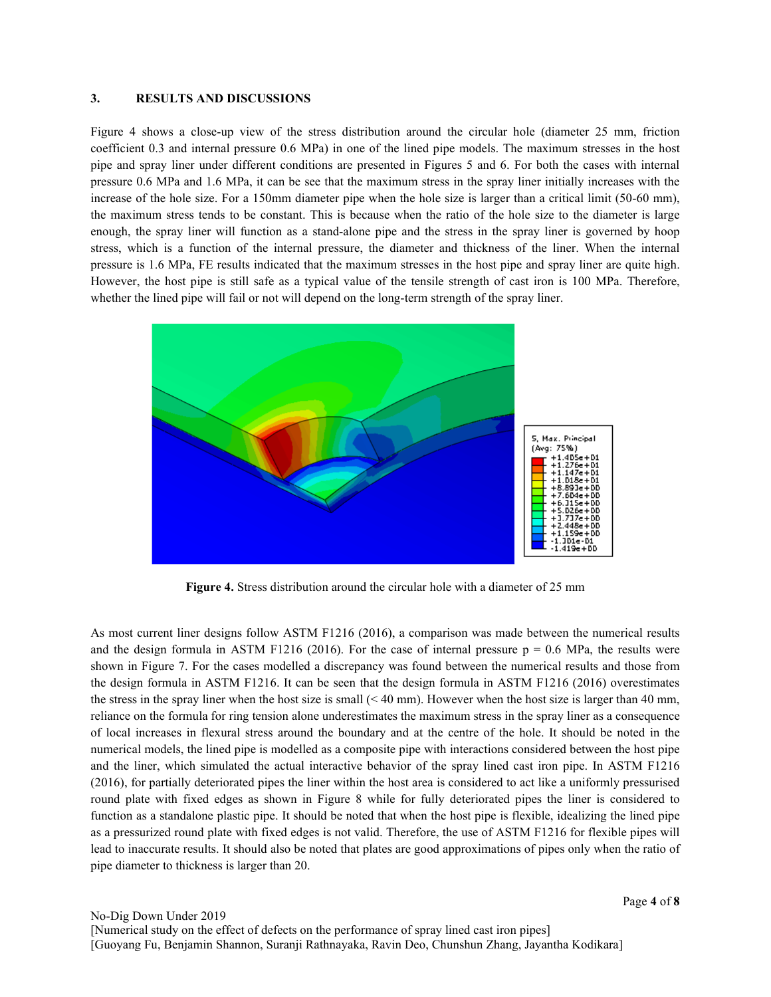#### **3. RESULTS AND DISCUSSIONS**

Figure 4 shows a close-up view of the stress distribution around the circular hole (diameter 25 mm, friction coefficient 0.3 and internal pressure 0.6 MPa) in one of the lined pipe models. The maximum stresses in the host pipe and spray liner under different conditions are presented in Figures 5 and 6. For both the cases with internal pressure 0.6 MPa and 1.6 MPa, it can be see that the maximum stress in the spray liner initially increases with the increase of the hole size. For a 150mm diameter pipe when the hole size is larger than a critical limit (50-60 mm), the maximum stress tends to be constant. This is because when the ratio of the hole size to the diameter is large enough, the spray liner will function as a stand-alone pipe and the stress in the spray liner is governed by hoop stress, which is a function of the internal pressure, the diameter and thickness of the liner. When the internal pressure is 1.6 MPa, FE results indicated that the maximum stresses in the host pipe and spray liner are quite high. However, the host pipe is still safe as a typical value of the tensile strength of cast iron is 100 MPa. Therefore, whether the lined pipe will fail or not will depend on the long-term strength of the spray liner.



**Figure 4.** Stress distribution around the circular hole with a diameter of 25 mm

As most current liner designs follow ASTM F1216 (2016), a comparison was made between the numerical results and the design formula in ASTM F1216 (2016). For the case of internal pressure  $p = 0.6$  MPa, the results were shown in Figure 7. For the cases modelled a discrepancy was found between the numerical results and those from the design formula in ASTM F1216. It can be seen that the design formula in ASTM F1216 (2016) overestimates the stress in the spray liner when the host size is small  $( $40 \text{ mm}$ ). However when the host size is larger than 40 mm,$ reliance on the formula for ring tension alone underestimates the maximum stress in the spray liner as a consequence of local increases in flexural stress around the boundary and at the centre of the hole. It should be noted in the numerical models, the lined pipe is modelled as a composite pipe with interactions considered between the host pipe and the liner, which simulated the actual interactive behavior of the spray lined cast iron pipe. In ASTM F1216 (2016), for partially deteriorated pipes the liner within the host area is considered to act like a uniformly pressurised round plate with fixed edges as shown in Figure 8 while for fully deteriorated pipes the liner is considered to function as a standalone plastic pipe. It should be noted that when the host pipe is flexible, idealizing the lined pipe as a pressurized round plate with fixed edges is not valid. Therefore, the use of ASTM F1216 for flexible pipes will lead to inaccurate results. It should also be noted that plates are good approximations of pipes only when the ratio of pipe diameter to thickness is larger than 20.

Page **4** of **8**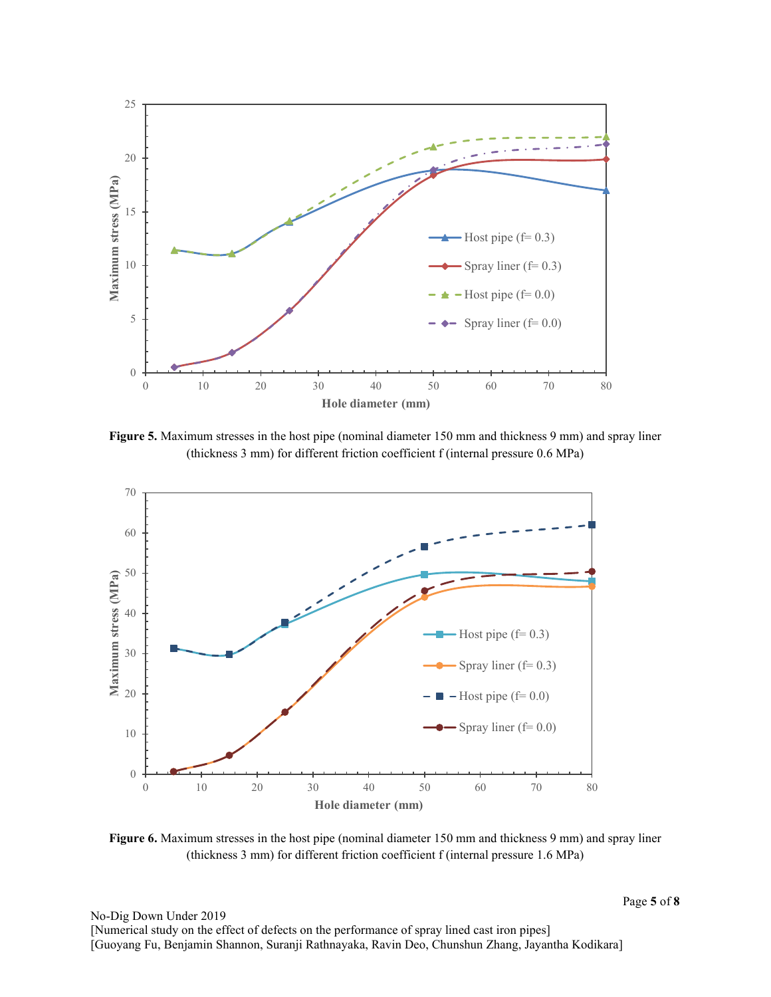

**Figure 5.** Maximum stresses in the host pipe (nominal diameter 150 mm and thickness 9 mm) and spray liner (thickness 3 mm) for different friction coefficient f (internal pressure 0.6 MPa)



**Figure 6.** Maximum stresses in the host pipe (nominal diameter 150 mm and thickness 9 mm) and spray liner (thickness 3 mm) for different friction coefficient f (internal pressure 1.6 MPa)

Page **5** of **8**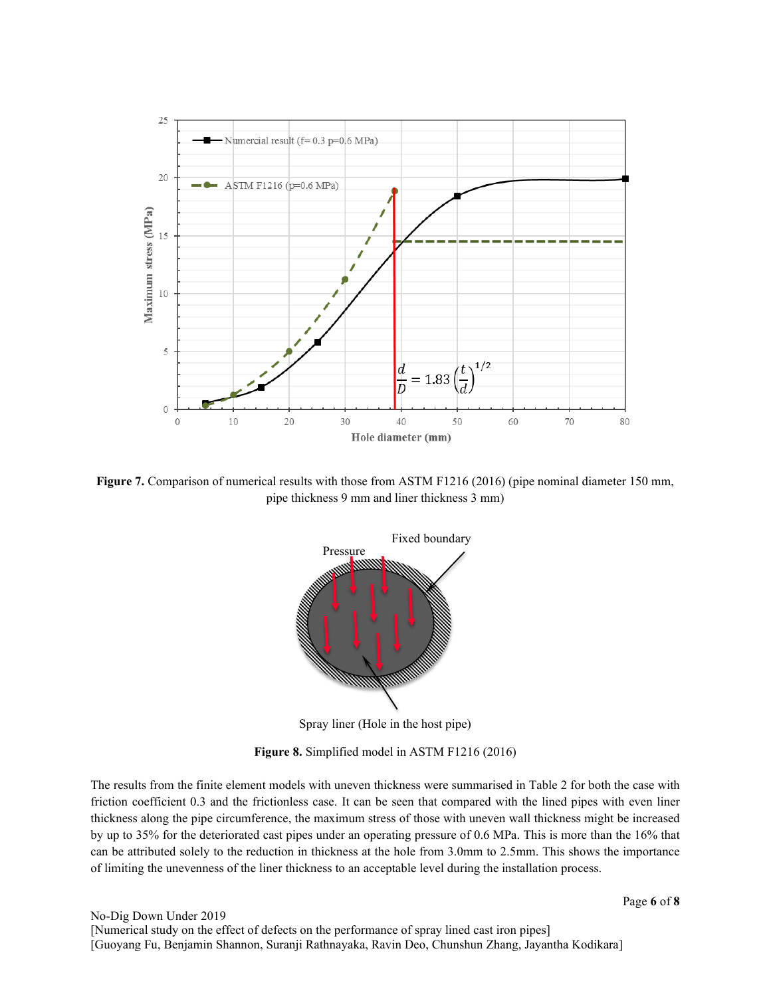

**Figure 7.** Comparison of numerical results with those from ASTM F1216 (2016) (pipe nominal diameter 150 mm, pipe thickness 9 mm and liner thickness 3 mm)



Spray liner (Hole in the host pipe)

**Figure 8.** Simplified model in ASTM F1216 (2016)

The results from the finite element models with uneven thickness were summarised in Table 2 for both the case with friction coefficient 0.3 and the frictionless case. It can be seen that compared with the lined pipes with even liner thickness along the pipe circumference, the maximum stress of those with uneven wall thickness might be increased by up to 35% for the deteriorated cast pipes under an operating pressure of 0.6 MPa. This is more than the 16% that can be attributed solely to the reduction in thickness at the hole from 3.0mm to 2.5mm. This shows the importance of limiting the unevenness of the liner thickness to an acceptable level during the installation process.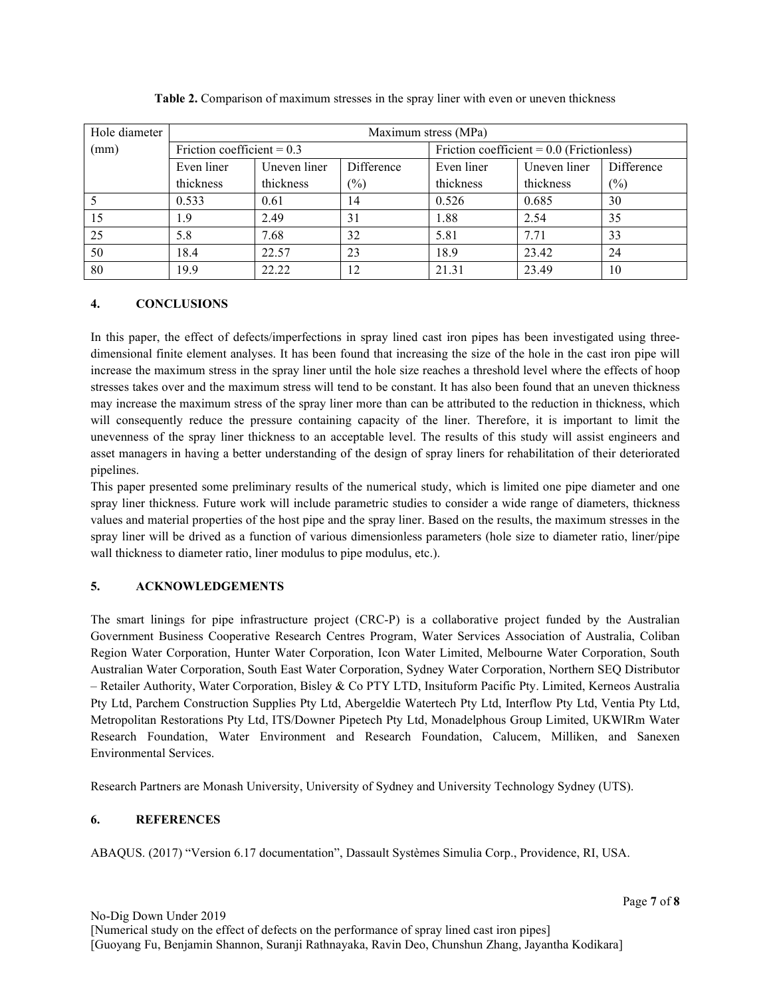| Hole diameter | Maximum stress (MPa)         |              |            |                                             |              |            |  |
|---------------|------------------------------|--------------|------------|---------------------------------------------|--------------|------------|--|
| (mm)          | Friction coefficient = $0.3$ |              |            | Friction coefficient = $0.0$ (Frictionless) |              |            |  |
|               | Even liner                   | Uneven liner | Difference | Even liner                                  | Uneven liner | Difference |  |
|               | thickness                    | thickness    | $(\%)$     | thickness                                   | thickness    | (%)        |  |
|               | 0.533                        | 0.61         | 14         | 0.526                                       | 0.685        | 30         |  |
| 15            | 1.9                          | 2.49         | 31         | 1.88                                        | 2.54         | 35         |  |
| 25            | 5.8                          | 7.68         | 32         | 5.81                                        | 7.71         | 33         |  |
| 50            | 18.4                         | 22.57        | 23         | 18.9                                        | 23.42        | 24         |  |
| 80            | 19.9                         | 22.22        | 12         | 21.31                                       | 23.49        | 10         |  |

**Table 2.** Comparison of maximum stresses in the spray liner with even or uneven thickness

## **4. CONCLUSIONS**

In this paper, the effect of defects/imperfections in spray lined cast iron pipes has been investigated using threedimensional finite element analyses. It has been found that increasing the size of the hole in the cast iron pipe will increase the maximum stress in the spray liner until the hole size reaches a threshold level where the effects of hoop stresses takes over and the maximum stress will tend to be constant. It has also been found that an uneven thickness may increase the maximum stress of the spray liner more than can be attributed to the reduction in thickness, which will consequently reduce the pressure containing capacity of the liner. Therefore, it is important to limit the unevenness of the spray liner thickness to an acceptable level. The results of this study will assist engineers and asset managers in having a better understanding of the design of spray liners for rehabilitation of their deteriorated pipelines.

This paper presented some preliminary results of the numerical study, which is limited one pipe diameter and one spray liner thickness. Future work will include parametric studies to consider a wide range of diameters, thickness values and material properties of the host pipe and the spray liner. Based on the results, the maximum stresses in the spray liner will be drived as a function of various dimensionless parameters (hole size to diameter ratio, liner/pipe wall thickness to diameter ratio, liner modulus to pipe modulus, etc.).

## **5. ACKNOWLEDGEMENTS**

The smart linings for pipe infrastructure project (CRC-P) is a collaborative project funded by the Australian Government Business Cooperative Research Centres Program, Water Services Association of Australia, Coliban Region Water Corporation, Hunter Water Corporation, Icon Water Limited, Melbourne Water Corporation, South Australian Water Corporation, South East Water Corporation, Sydney Water Corporation, Northern SEQ Distributor – Retailer Authority, Water Corporation, Bisley & Co PTY LTD, Insituform Pacific Pty. Limited, Kerneos Australia Pty Ltd, Parchem Construction Supplies Pty Ltd, Abergeldie Watertech Pty Ltd, Interflow Pty Ltd, Ventia Pty Ltd, Metropolitan Restorations Pty Ltd, ITS/Downer Pipetech Pty Ltd, Monadelphous Group Limited, UKWIRm Water Research Foundation, Water Environment and Research Foundation, Calucem, Milliken, and Sanexen Environmental Services.

Research Partners are Monash University, University of Sydney and University Technology Sydney (UTS).

## **6. REFERENCES**

ABAQUS. (2017) "Version 6.17 documentation", Dassault Systèmes Simulia Corp., Providence, RI, USA.